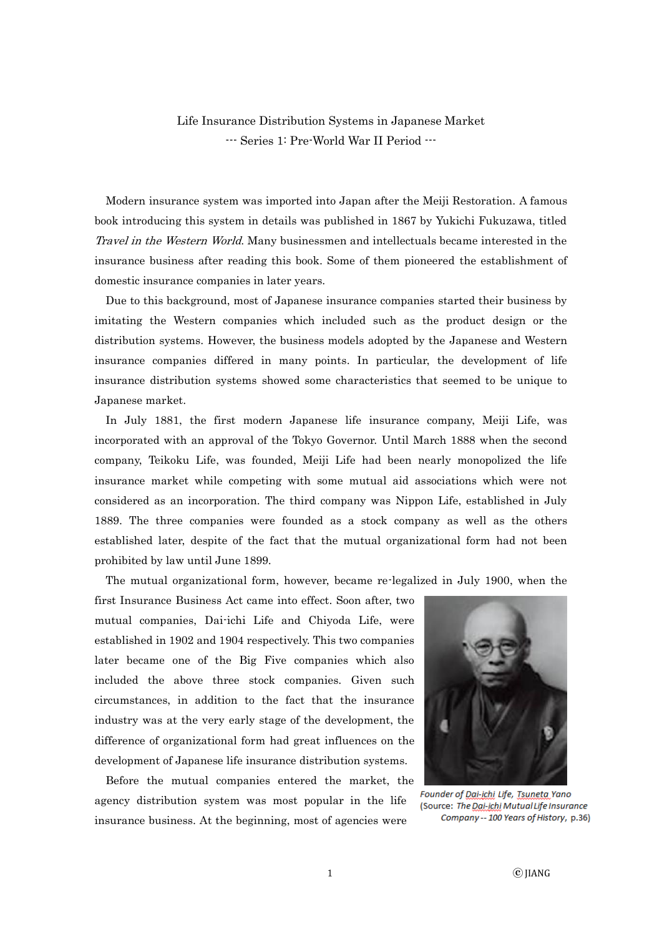Life Insurance Distribution Systems in Japanese Market --- Series 1: Pre-World War II Period ---

 Modern insurance system was imported into Japan after the Meiji Restoration. A famous book introducing this system in details was published in 1867 by Yukichi Fukuzawa, titled Travel in the Western World. Many businessmen and intellectuals became interested in the insurance business after reading this book. Some of them pioneered the establishment of domestic insurance companies in later years.

Due to this background, most of Japanese insurance companies started their business by imitating the Western companies which included such as the product design or the distribution systems. However, the business models adopted by the Japanese and Western insurance companies differed in many points. In particular, the development of life insurance distribution systems showed some characteristics that seemed to be unique to Japanese market.

In July 1881, the first modern Japanese life insurance company, Meiji Life, was incorporated with an approval of the Tokyo Governor. Until March 1888 when the second company, Teikoku Life, was founded, Meiji Life had been nearly monopolized the life insurance market while competing with some mutual aid associations which were not considered as an incorporation. The third company was Nippon Life, established in July 1889. The three companies were founded as a stock company as well as the others established later, despite of the fact that the mutual organizational form had not been prohibited by law until June 1899.

The mutual organizational form, however, became re-legalized in July 1900, when the

first Insurance Business Act came into effect. Soon after, two mutual companies, Dai-ichi Life and Chiyoda Life, were established in 1902 and 1904 respectively. This two companies later became one of the Big Five companies which also included the above three stock companies. Given such circumstances, in addition to the fact that the insurance industry was at the very early stage of the development, the difference of organizational form had great influences on the development of Japanese life insurance distribution systems.

Before the mutual companies entered the market, the agency distribution system was most popular in the life insurance business. At the beginning, most of agencies were



Founder of Dai-ichi Life, Tsuneta Yano (Source: The Dai-ichi Mutual Life Insurance Company -- 100 Years of History, p.36)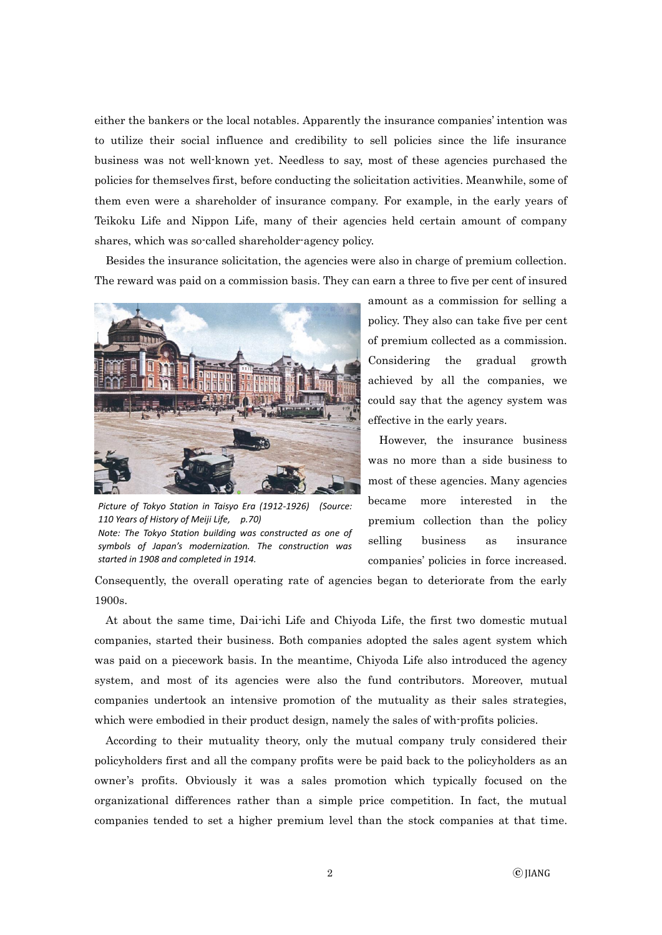either the bankers or the local notables. Apparently the insurance companies' intention was to utilize their social influence and credibility to sell policies since the life insurance business was not well-known yet. Needless to say, most of these agencies purchased the policies for themselves first, before conducting the solicitation activities. Meanwhile, some of them even were a shareholder of insurance company. For example, in the early years of Teikoku Life and Nippon Life, many of their agencies held certain amount of company shares, which was so-called shareholder-agency policy.

Besides the insurance solicitation, the agencies were also in charge of premium collection. The reward was paid on a commission basis. They can earn a three to five per cent of insured



*Picture of Tokyo Station in Taisyo Era (1912-1926) (Source: 110 Years of History of Meiji Life, p.70) Note: The Tokyo Station building was constructed as one of symbols of Japan's modernization. The construction was started in 1908 and completed in 1914.*

amount as a commission for selling a policy. They also can take five per cent of premium collected as a commission. Considering the gradual growth achieved by all the companies, we could say that the agency system was effective in the early years.

However, the insurance business was no more than a side business to most of these agencies. Many agencies became more interested in the premium collection than the policy selling business as insurance companies' policies in force increased.

Consequently, the overall operating rate of agencies began to deteriorate from the early 1900s.

At about the same time, Dai-ichi Life and Chiyoda Life, the first two domestic mutual companies, started their business. Both companies adopted the sales agent system which was paid on a piecework basis. In the meantime, Chiyoda Life also introduced the agency system, and most of its agencies were also the fund contributors. Moreover, mutual companies undertook an intensive promotion of the mutuality as their sales strategies, which were embodied in their product design, namely the sales of with-profits policies.

According to their mutuality theory, only the mutual company truly considered their policyholders first and all the company profits were be paid back to the policyholders as an owner's profits. Obviously it was a sales promotion which typically focused on the organizational differences rather than a simple price competition. In fact, the mutual companies tended to set a higher premium level than the stock companies at that time.